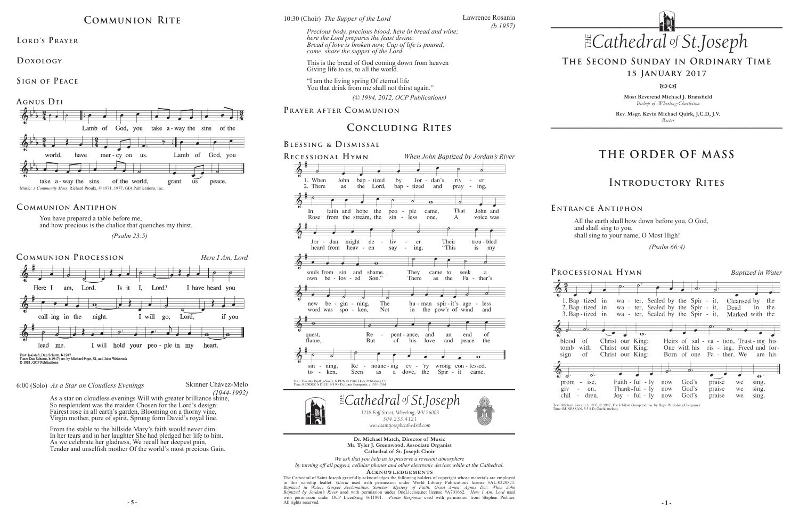**Most Reverend Michael J. Bransfield** *Bishop of Wheeling-Charleston*

**Rev. Msgr. Kevin Michael Quirk, J.C.D, J.V.** *Rector*

*(© 1994, 2012, OCP Publications)* 

*1218 Eoff Street, Wheeling, WV 26003 304.233.4121 304.233.4121*

**Processional Hymn** *Baptized in Water* っ 1. Bap-tized in wa - ter, Sealed by the Spir - it, Cleansed by the 2. Bap-tized in wa - ter, Sealed by the Spir - it, Dead in the 3. Bap-tized in wa - ter, Sealed by the Spir - it, Marked with the  $\rho$ .  $\bullet$ Christ our King: Heirs of sal - va - tion, Trust-ing his Christ our King: One with his ris - ing, Freed and for-Christ our King: Born of one Fa - ther, We are his Faith - ful -  $ly$ God's praise now we sing. Thank-ful - ly now God's praise we sing.  $\text{Joy}$  - ful -  $\text{Iy}$  now chil - dren, God's praise sing. we

Text: Michael Saward, b.1932, © 1982, The Jubilate Group (admin. by Hope Publishing Company Tune: BUNESSAN, 5 5 8 D; Gaelic melody

*of .Joseph*

*www.saintjosephcathedral.com*

# **THE ORDER OF MASS**

# **Introductory Rites**

# **The Second Sunday in Ordinary Time**

**15 January 2017**

80CB

# **Concluding Rites**

#### **Blessing & Dismissal**

#### **Prayer after C ommunion**

All the earth shall bow down before you, O God, and shall sing to you, shall sing to your name, O Most High!

*www.saintjosephcathedral.com* **Dr. Michael Match, Director of Music Mr. Tyler J. Greenwood, Associate Organist Cathedral of St. Joseph Choir**











blood <sub>of</sub> tomb with sign <sub>of</sub>



 *(Psalm 66:4)* 

**E ntrance A ntiphon**



You have prepared a table before me, and how precious is the chalice that quenches my thirst.

 *(Psalm 23:5)*

### **Communion Antiphon**

**- 5 - - 1 - Acknowledgement s** The Cathedral of Saint Joseph gratefully acknowledges the following holders of copyright whose materials are employed<br>in this worship leaflet: *Gloria* used with permission under World Library Publications license #AL-0220 *Baptized in Water; Gospel Acclamation; Sanctus; Mystery of Faith; Great Amen; Agnus Dei; When John Baptized by Jordan's River* used with permission under OneLicense.net license #A701662. *Here I Am, Lord* used with permission under OCP LicenSing #611891. *Psalm Response* used with permission from Stephen Pishner. All rights reserved.



*We ask that you help us to preserve a reverent atmosphere*

*by turning off all pagers, cellular phones and other electronic devices while at the Cathedral.*

*he Supper of the Lord Cathedral St THE* 10:30 (Choir) *The Supper of the Lord*

> "I am the living spring Of eternal life You that drink from me shall not thirst again."

*of .Joseph Precious body, precious blood, here in bread and wine; here the Lord prepares the feast divine. Bread of love is broken now, Cup of life is poured; come, share the supper of the Lord.*

# **Communion Rite**

LORD'S PRAYER

**Doxology** 

**Sign of Peace** 



Skinner Chávez-Melo *(1944-1992)*

#### 6:00 (Solo) *As a Star on Cloudless Evenings*

As a star on cloudless evenings Will with greater brilliance shine, So resplendent was the maiden Chosen for the Lord's design: Fairest rose in all earth's garden, Blooming on a thorny vine, Virgin mother, pure of spirit, Sprung form David's royal line.

From the stable to the hillside Mary's faith would never dim: In her tears and in her laughter She had pledged her life to him. As we celebrate her gladness, We recall her deepest pain, Tender and unselfish mother Of the world's most precious Gain. Lawrence Rosania

*(b.1957)*

This is the bread of God coming down from heaven Giving life to us, to all the world.